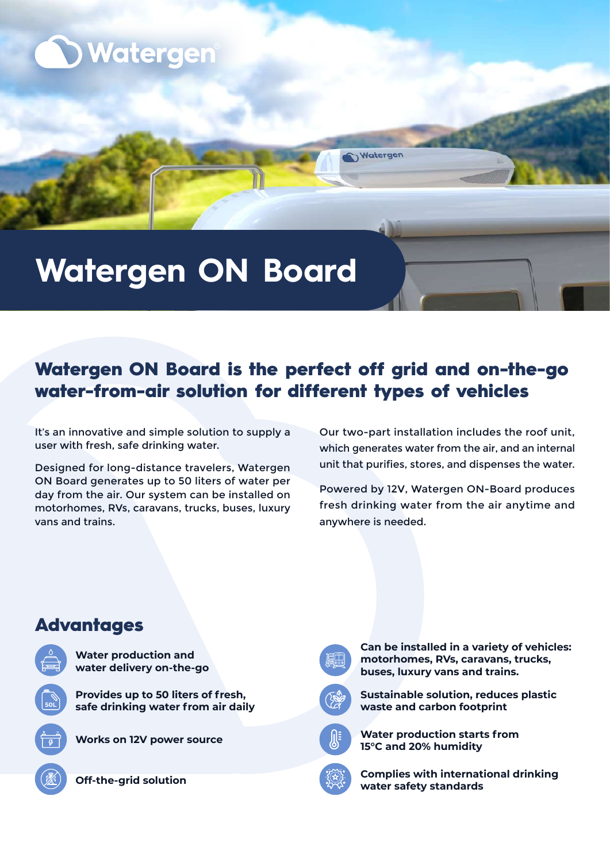

# **Watergen ON Board**

# Watergen ON Board is the perfect off grid and on-the-go water-from-air solution for different types of vehicles

Watergen

It's an innovative and simple solution to supply a user with fresh, safe drinking water.

Designed for long-distance travelers, Watergen ON Board generates up to 50 liters of water per day from the air. Our system can be installed on motorhomes, RVs, caravans, trucks, buses, luxury vans and trains

Our two-part installation includes the roof unit, which generates water from the air, and an internal unit that purifies, stores, and dispenses the water.

Powered by 12V, Watergen ON-Board produces fresh drinking water from the air anytime and anywhere is needed.

# **Works on 12V power source Provides up to 50 liters of fresh, L50**safe drinking water from air daily **Water production and** water delivery on-the-go **Advantages**

**Off-the-grid solution** 



**Can be installed in a variety of vehicles:** motorhomes, RVs, caravans, trucks, **buses, luxury vans and trains.** 



**Sustainable solution, reduces plastic waste and carbon footprint** 



**Water production starts from 15°C and 20% humidity** 



**Complies with international drinking standards safety water**